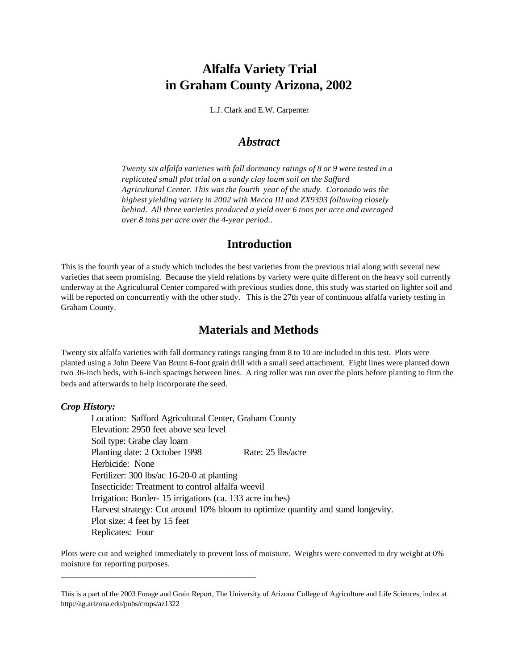# **Alfalfa Variety Trial in Graham County Arizona, 2002**

L.J. Clark and E.W. Carpenter

#### *Abstract*

*Twenty six alfalfa varieties with fall dormancy ratings of 8 or 9 were tested in a replicated small plot trial on a sandy clay loam soil on the Safford Agricultural Center. This was the fourth year of the study. Coronado was the highest yielding variety in 2002 with Mecca III and ZX9393 following closely behind. All three varieties produced a yield over 6 tons per acre and averaged over 8 tons per acre over the 4-year period..*

### **Introduction**

This is the fourth year of a study which includes the best varieties from the previous trial along with several new varieties that seem promising. Because the yield relations by variety were quite different on the heavy soil currently underway at the Agricultural Center compared with previous studies done, this study was started on lighter soil and will be reported on concurrently with the other study. This is the 27th year of continuous alfalfa variety testing in Graham County.

## **Materials and Methods**

Twenty six alfalfa varieties with fall dormancy ratings ranging from 8 to 10 are included in this test. Plots were planted using a John Deere Van Brunt 6-foot grain drill with a small seed attachment. Eight lines were planted down two 36-inch beds, with 6-inch spacings between lines. A ring roller was run over the plots before planting to firm the beds and afterwards to help incorporate the seed.

#### *Crop History:*

Location: Safford Agricultural Center, Graham County Elevation: 2950 feet above sea level Soil type: Grabe clay loam Planting date: 2 October 1998 Rate: 25 lbs/acre Herbicide: None Fertilizer: 300 lbs/ac 16-20-0 at planting Insecticide: Treatment to control alfalfa weevil Irrigation: Border- 15 irrigations (ca. 133 acre inches) Harvest strategy: Cut around 10% bloom to optimize quantity and stand longevity. Plot size: 4 feet by 15 feet Replicates: Four

Plots were cut and weighed immediately to prevent loss of moisture. Weights were converted to dry weight at 0% moisture for reporting purposes.

\_\_\_\_\_\_\_\_\_\_\_\_\_\_\_\_\_\_\_\_\_\_\_\_\_\_\_\_\_\_\_\_\_\_\_\_\_\_\_\_\_\_\_\_

This is a part of the 2003 Forage and Grain Report, The University of Arizona College of Agriculture and Life Sciences, index at http://ag.arizona.edu/pubs/crops/az1322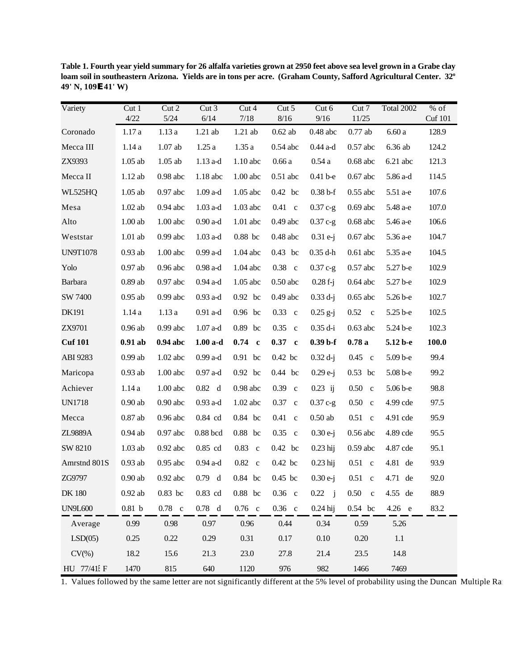| Variety         | Cut <sub>1</sub><br>4/22 | Cut 2<br>$5/24$ | Cut 3<br>6/14               | Cut 4<br>7/18    | Cut 5<br>$8/16$ | Cut 6<br>9/16       | Cut 7<br>11/25 | Total 2002 | % of<br><b>Cuf</b> 101 |
|-----------------|--------------------------|-----------------|-----------------------------|------------------|-----------------|---------------------|----------------|------------|------------------------|
| Coronado        | 1.17a                    | 1.13a           | $1.21$ ab                   | $1.21$ ab        | $0.62$ ab       | $0.48$ abc          | $0.77$ ab      | $6.60\ a$  | 128.9                  |
| Mecca III       | 1.14a                    | $1.07$ ab       | 1.25a                       | 1.35a            | $0.54$ abc      | $0.44$ a-d          | $0.57$ abc     | $6.36$ ab  | 124.2                  |
| ZX9393          | $1.05$ ab                | $1.05$ ab       | $1.13$ a-d                  | $1.10$ abc       | 0.66a           | 0.54a               | $0.68$ abc     | $6.21$ abc | 121.3                  |
| Mecca II        | $1.12$ ab                | $0.98$ abc      | 1.18 abc                    | $1.00$ abc       | $0.51$ abc      | $0.41b-e$           | $0.67$ abc     | 5.86 a-d   | 114.5                  |
| WL525HQ         | $1.05$ ab                | $0.97$ abc      | $1.09$ a-d                  | $1.05$ abc       | $0.42$ bc       | $0.38 b-f$          | $0.55$ abc     | 5.51 a-e   | 107.6                  |
| Mesa            | $1.02$ ab                | $0.94$ abc      | $1.03\ \mathrm{a\text{-}d}$ | 1.03 abc         | $0.41\quad c$   | $0.37c-g$           | $0.69$ abc     | 5.48 a-e   | 107.0                  |
| Alto            | $1.00$ ab                | $1.00$ abc      | $0.90$ a-d                  | $1.01$ abc       | $0.49$ abc      | $0.37 c-g$          | $0.68$ abc     | 5.46 a-e   | 106.6                  |
| Weststar        | $1.01$ ab                | $0.99$ abc      | $1.03$ a-d                  | $0.88$ bc        | $0.48$ abc      | $0.31 e-j$          | $0.67$ abc     | 5.36 a-e   | 104.7                  |
| <b>UN9T1078</b> | $0.93$ ab                | $1.00$ abc      | $0.99$ a-d                  | 1.04 abc         | 0.43 bc         | $0.35$ d-h          | $0.61$ abc     | 5.35 a-e   | 104.5                  |
| Yolo            | $0.97$ ab                | $0.96$ abc      | $0.98$ a-d                  | $1.04$ abc       | $0.38$ c        | $0.37c-g$           | $0.57$ abc     | $5.27b-e$  | 102.9                  |
| Barbara         | $0.89$ ab                | $0.97$ abc      | $0.94$ a-d                  | $1.05$ abc       | $0.50$ abc      | $0.28 f-j$          | $0.64$ abc     | 5.27 b-e   | 102.9                  |
| SW 7400         | $0.95$ ab                | $0.99$ abc      | $0.93$ a-d                  | 0.92 bc          | $0.49$ abc      | $0.33 d-j$          | $0.65$ abc     | $5.26b-e$  | 102.7                  |
| DK191           | 1.14a                    | 1.13a           | $0.91$ a-d                  | 0.96 bc          | $0.33$ c        | $0.25$ g-j          | $0.52 \quad c$ | 5.25 b-e   | 102.5                  |
| ZX9701          | $0.96$ ab                | $0.99$ abc      | $1.07$ a-d                  | 0.89 bc          | $0.35$ c        | $0.35$ d-i          | $0.63$ abc     | 5.24 b-e   | 102.3                  |
| <b>Cuf 101</b>  | $0.91$ ab                | $0.94$ abc      | $1.00a-d$                   | $0.74 \text{ c}$ | $0.37$ c        | $0.39b-f$           | 0.78a          | 5.12 b-e   | 100.0                  |
| ABI 9283        | $0.99~\mathrm{ab}$       | 1.02 abc        | $0.99$ a-d                  | $0.91$ bc        | $0.42$ bc       | $0.32 d-j$          | $0.45 \, c$    | $5.09b-e$  | 99.4                   |
| Maricopa        | $0.93~\rm ab$            | $1.00$ abc      | $0.97$ a-d                  | 0.92 bc          | $0.44$ bc       | $0.29 e-j$          | $0.53$ bc      | $5.08b-e$  | 99.2                   |
| Achiever        | 1.14a                    | $1.00$ abc      | $0.82\ d$                   | $0.98$ abc       | $0.39$ c        | $0.23$ ij           | $0.50\quad c$  | $5.06b-e$  | 98.8                   |
| <b>UN1718</b>   | $0.90$ ab                | $0.90$ abc      | $0.93$ a-d                  | $1.02$ abc       | $0.37$ c        | $0.37c-g$           | $0.50\quad c$  | 4.99 cde   | 97.5                   |
| Mecca           | $0.87$ ab                | $0.96$ abc      | $0.84$ cd                   | 0.84 bc          | $0.41 \quad c$  | $0.50\ \mathrm{ab}$ | $0.51$ c       | 4.91 cde   | 95.9                   |
| ZL9889A         | $0.94$ ab                | $0.97$ abc      | $0.88$ bcd                  | $0.88$ bc        | $0.35$ c        | $0.30 e-j$          | $0.56$ abc     | 4.89 cde   | 95.5                   |
| SW 8210         | $1.03$ ab                | $0.92$ abc      | $0.85$ cd                   | $0.83$ c         | 0.42 bc         | $0.23$ hij          | $0.59$ abc     | 4.87 cde   | 95.1                   |
| Amrstnd 801S    | $0.93$ ab                | $0.95$ abc      | $0.94$ a-d                  | $0.82 \quad c$   | 0.42~bc         | $0.23$ hij          | $0.51$ c       | 4.81 de    | 93.9                   |
| ZG9797          | $0.90$ ab                | $0.92$ abc      | $0.79$ d                    | 0.84 bc          | $0.45$ bc       | $0.30e-j$           | $0.51$ c       | $4.71$ de  | 92.0                   |
| <b>DK</b> 180   | $0.92$ ab                | $0.83$ bc       | $0.83$ cd                   | $0.88$ bc        | $0.36$ c        | 0.22 i              | $0.50 \quad c$ | 4.55 de    | 88.9                   |
| <b>UN9L600</b>  | $0.81\,$ b               | $0.78$ c        | $0.78$ d                    | $0.76$ c         | $0.36$ c        | $0.24$ hij          | $0.54$ bc      | $4.26$ e   | 83.2                   |
| Average         | 0.99                     | 0.98            | 0.97                        | 0.96             | 0.44            | 0.34                | 0.59           | 5.26       |                        |
| LSD(05)         | 0.25                     | 0.22            | 0.29                        | 0.31             | 0.17            | 0.10                | 0.20           | 1.1        |                        |
| $CV(\%)$        | 18.2                     | 15.6            | 21.3                        | 23.0             | 27.8            | 21.4                | 23.5           | 14.8       |                        |
| HU 77/41EF      | 1470                     | 815             | 640                         | 1120             | 976             | 982                 | 1466           | 7469       |                        |

Table 1. Fourth year yield summary for 26 alfalfa varieties grown at 2950 feet above sea level grown in a Grabe clay loam soil in southeastern Arizona. Yields are in tons per acre. (Graham County, Safford Agricultural Center. 32° 49' N, 109E 41' W)

1. Values followed by the same letter are not significantly different at the 5% level of probability using the Duncan Multiple Rat